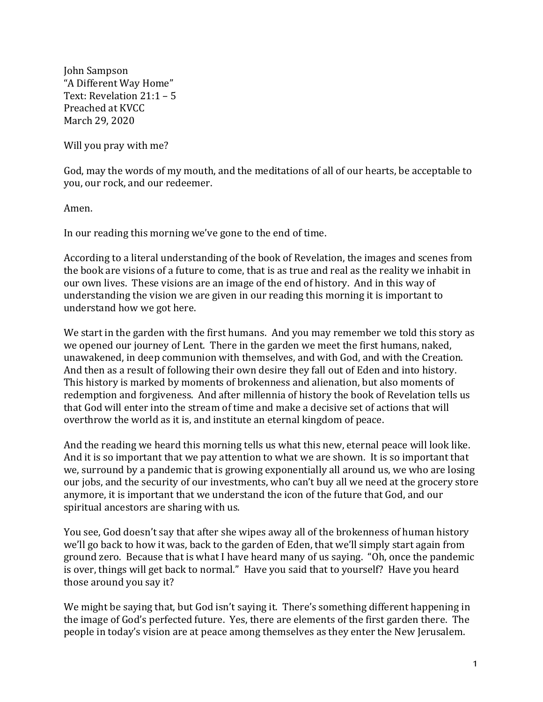John Sampson "A Different Way Home" Text: Revelation  $21:1 - 5$ Preached at KVCC March 29, 2020

Will you pray with me?

God, may the words of my mouth, and the meditations of all of our hearts, be acceptable to you, our rock, and our redeemer.

Amen.

In our reading this morning we've gone to the end of time.

According to a literal understanding of the book of Revelation, the images and scenes from the book are visions of a future to come, that is as true and real as the reality we inhabit in our own lives. These visions are an image of the end of history. And in this way of understanding the vision we are given in our reading this morning it is important to understand how we got here.

We start in the garden with the first humans. And you may remember we told this story as we opened our journey of Lent. There in the garden we meet the first humans, naked, unawakened, in deep communion with themselves, and with God, and with the Creation. And then as a result of following their own desire they fall out of Eden and into history. This history is marked by moments of brokenness and alienation, but also moments of redemption and forgiveness. And after millennia of history the book of Revelation tells us that God will enter into the stream of time and make a decisive set of actions that will overthrow the world as it is, and institute an eternal kingdom of peace.

And the reading we heard this morning tells us what this new, eternal peace will look like. And it is so important that we pay attention to what we are shown. It is so important that we, surround by a pandemic that is growing exponentially all around us, we who are losing our jobs, and the security of our investments, who can't buy all we need at the grocery store anymore, it is important that we understand the icon of the future that God, and our spiritual ancestors are sharing with us.

You see, God doesn't say that after she wipes away all of the brokenness of human history we'll go back to how it was, back to the garden of Eden, that we'll simply start again from ground zero. Because that is what I have heard many of us saying. "Oh, once the pandemic is over, things will get back to normal." Have you said that to yourself? Have you heard those around you say it?

We might be saying that, but God isn't saying it. There's something different happening in the image of God's perfected future. Yes, there are elements of the first garden there. The people in today's vision are at peace among themselves as they enter the New Jerusalem.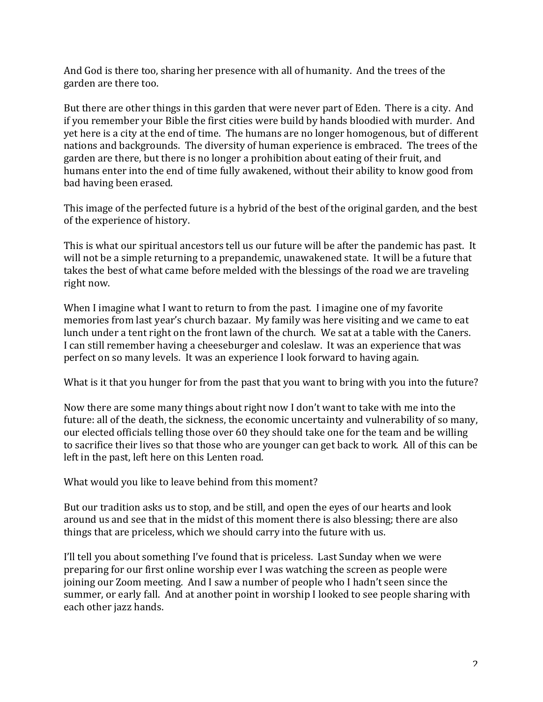And God is there too, sharing her presence with all of humanity. And the trees of the garden are there too.

But there are other things in this garden that were never part of Eden. There is a city. And if you remember your Bible the first cities were build by hands bloodied with murder. And yet here is a city at the end of time. The humans are no longer homogenous, but of different nations and backgrounds. The diversity of human experience is embraced. The trees of the garden are there, but there is no longer a prohibition about eating of their fruit, and humans enter into the end of time fully awakened, without their ability to know good from bad having been erased.

This image of the perfected future is a hybrid of the best of the original garden, and the best of the experience of history.

This is what our spiritual ancestors tell us our future will be after the pandemic has past. It will not be a simple returning to a prepandemic, unawakened state. It will be a future that takes the best of what came before melded with the blessings of the road we are traveling right now.

When I imagine what I want to return to from the past. I imagine one of my favorite memories from last year's church bazaar. My family was here visiting and we came to eat lunch under a tent right on the front lawn of the church. We sat at a table with the Caners. I can still remember having a cheeseburger and coleslaw. It was an experience that was perfect on so many levels. It was an experience I look forward to having again.

What is it that you hunger for from the past that you want to bring with you into the future?

Now there are some many things about right now I don't want to take with me into the future: all of the death, the sickness, the economic uncertainty and vulnerability of so many, our elected officials telling those over 60 they should take one for the team and be willing to sacrifice their lives so that those who are younger can get back to work. All of this can be left in the past, left here on this Lenten road.

What would you like to leave behind from this moment?

But our tradition asks us to stop, and be still, and open the eyes of our hearts and look around us and see that in the midst of this moment there is also blessing; there are also things that are priceless, which we should carry into the future with us.

I'll tell you about something I've found that is priceless. Last Sunday when we were preparing for our first online worship ever I was watching the screen as people were joining our Zoom meeting. And I saw a number of people who I hadn't seen since the summer, or early fall. And at another point in worship I looked to see people sharing with each other jazz hands.